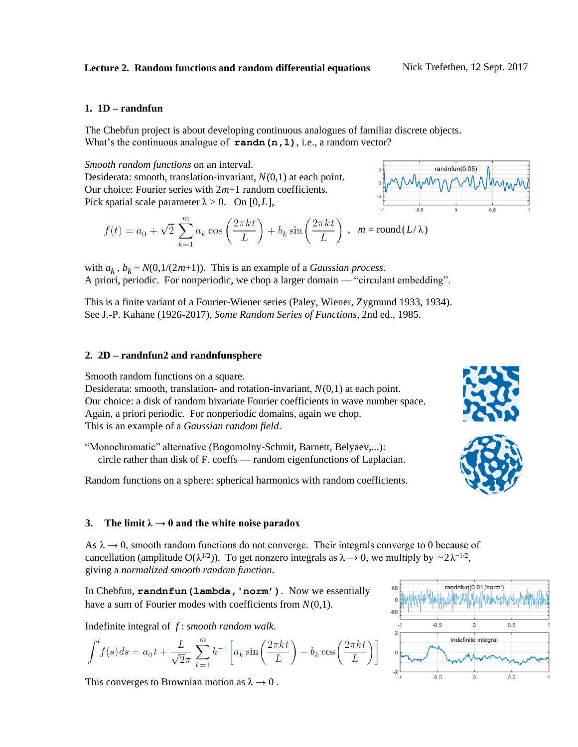#### **1. 1D – randnfun**

The Chebfun project is about developing continuous analogues of familiar discrete objects. What's the continuous analogue of **randn** (n, 1), i.e., a random vector?

*Smooth random functions* on an interval. Desiderata: smooth, translation-invariant, *N*(0,1) at each point. Our choice: Fourier series with 2*m*+1 random coefficients. Pick spatial scale parameter  $\lambda > 0$ . On [0,*L*],

$$
f(t) = a_0 + \sqrt{2} \sum_{k=1}^{m} a_k \cos\left(\frac{2\pi kt}{L}\right) + b_k \sin\left(\frac{2\pi kt}{L}\right) , \quad m = \text{round}(L/\lambda)
$$



with  $a_k$ ,  $b_k \sim N(0, 1/(2m+1))$ . This is an example of a *Gaussian process*. A priori, periodic. For nonperiodic, we chop a larger domain — "circulant embedding".

This is a finite variant of a Fourier-Wiener series (Paley, Wiener, Zygmund 1933, 1934). See J.-P. Kahane (1926-2017), *Some Random Series of Functions*, 2nd ed., 1985.

#### **2. 2D – randnfun2 and randnfunsphere**

Smooth random functions on a square.

Desiderata: smooth, translation- and rotation-invariant, *N*(0,1) at each point. Our choice: a disk of random bivariate Fourier coefficients in wave number space. Again, a priori periodic. For nonperiodic domains, again we chop. This is an example of a *Gaussian random field*.

"Monochromatic" alternative (Bogomolny-Schmit, Barnett, Belyaev,...): circle rather than disk of F. coeffs — random eigenfunctions of Laplacian.

Random functions on a sphere: spherical harmonics with random coefficients.

### **3. The limit**  $\lambda \rightarrow 0$  and the white noise paradox

As  $\lambda \rightarrow 0$ , smooth random functions do not converge. Their integrals converge to 0 because of cancellation (amplitude O( $\lambda^{1/2}$ )). To get nonzero integrals as  $\lambda \to 0$ , we multiply by  $\sim 2\lambda^{-1/2}$ , giving a *normalized smooth random function*.

In Chebfun, **randnfun(lambda,'norm')**. Now we essentially have a sum of Fourier modes with coefficients from *N*(0,1).

Indefinite integral of *f* : *smooth random walk*.

$$
\int^t f(s)ds = a_0 t + \frac{L}{\sqrt{2\pi}} \sum_{k=1}^m k^{-1} \left[ a_k \sin\left(\frac{2\pi kt}{L}\right) - b_k \cos\left(\frac{2\pi kt}{L}\right) \right]
$$

This converges to Brownian motion as  $\lambda \rightarrow 0$ .



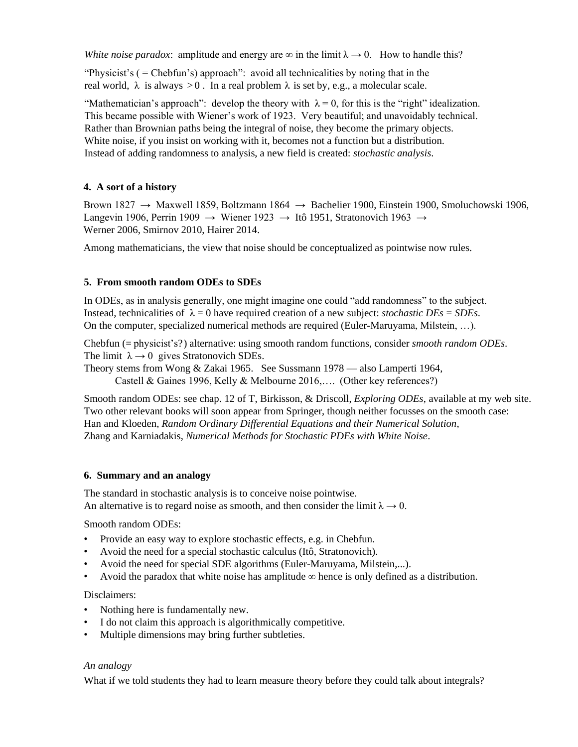*White noise paradox*: amplitude and energy are  $\infty$  in the limit  $\lambda \rightarrow 0$ . How to handle this?

"Physicist's ( = Chebfun's) approach": avoid all technicalities by noting that in the real world,  $\lambda$  is always  $> 0$ . In a real problem  $\lambda$  is set by, e.g., a molecular scale.

"Mathematician's approach": develop the theory with  $\lambda = 0$ , for this is the "right" idealization. This became possible with Wiener's work of 1923. Very beautiful; and unavoidably technical. Rather than Brownian paths being the integral of noise, they become the primary objects. White noise, if you insist on working with it, becomes not a function but a distribution. Instead of adding randomness to analysis, a new field is created: *stochastic analysis*.

# **4. A sort of a history**

Brown 1827  $\rightarrow$  Maxwell 1859, Boltzmann 1864  $\rightarrow$  Bachelier 1900, Einstein 1900, Smoluchowski 1906, Langevin 1906, Perrin 1909 → Wiener 1923 → Itô 1951, Stratonovich 1963 → Werner 2006, Smirnov 2010, Hairer 2014.

Among mathematicians, the view that noise should be conceptualized as pointwise now rules.

# **5. From smooth random ODEs to SDEs**

In ODEs, as in analysis generally, one might imagine one could "add randomness" to the subject. Instead, technicalities of  $\lambda = 0$  have required creation of a new subject: *stochastic DEs = SDEs*. On the computer, specialized numerical methods are required (Euler-Maruyama, Milstein, …).

Chebfun (= physicist's?) alternative: using smooth random functions, consider *smooth random ODEs*. The limit  $\lambda \rightarrow 0$  gives Stratonovich SDEs.

Theory stems from Wong & Zakai 1965. See Sussmann 1978 — also Lamperti 1964, Castell & Gaines 1996, Kelly & Melbourne 2016,…. (Other key references?)

Smooth random ODEs: see chap. 12 of T, Birkisson, & Driscoll, *Exploring ODEs*, available at my web site. Two other relevant books will soon appear from Springer, though neither focusses on the smooth case: Han and Kloeden, *Random Ordinary Differential Equations and their Numerical Solution*, Zhang and Karniadakis, *Numerical Methods for Stochastic PDEs with White Noise*.

### **6. Summary and an analogy**

The standard in stochastic analysis is to conceive noise pointwise. An alternative is to regard noise as smooth, and then consider the limit  $\lambda \rightarrow 0$ .

Smooth random ODEs:

- Provide an easy way to explore stochastic effects, e.g. in Chebfun.
- Avoid the need for a special stochastic calculus (Itô, Stratonovich).
- Avoid the need for special SDE algorithms (Euler-Maruyama, Milstein,...).
- Avoid the paradox that white noise has amplitude  $\infty$  hence is only defined as a distribution.

### Disclaimers:

- Nothing here is fundamentally new.
- I do not claim this approach is algorithmically competitive.
- Multiple dimensions may bring further subtleties.

### *An analogy*

What if we told students they had to learn measure theory before they could talk about integrals?